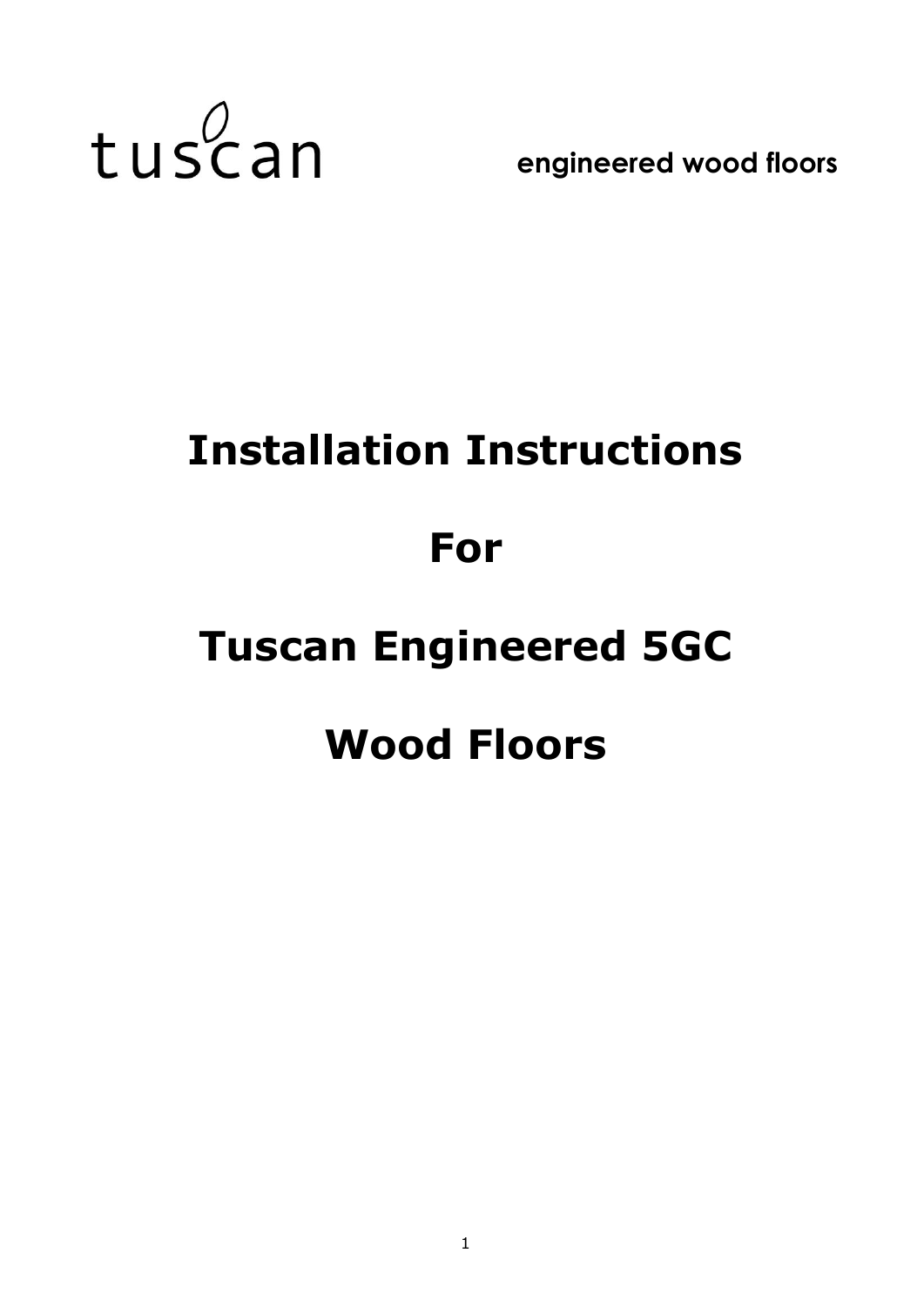

**engineered wood floors**

# **Installation Instructions For Tuscan Engineered 5GC Wood Floors**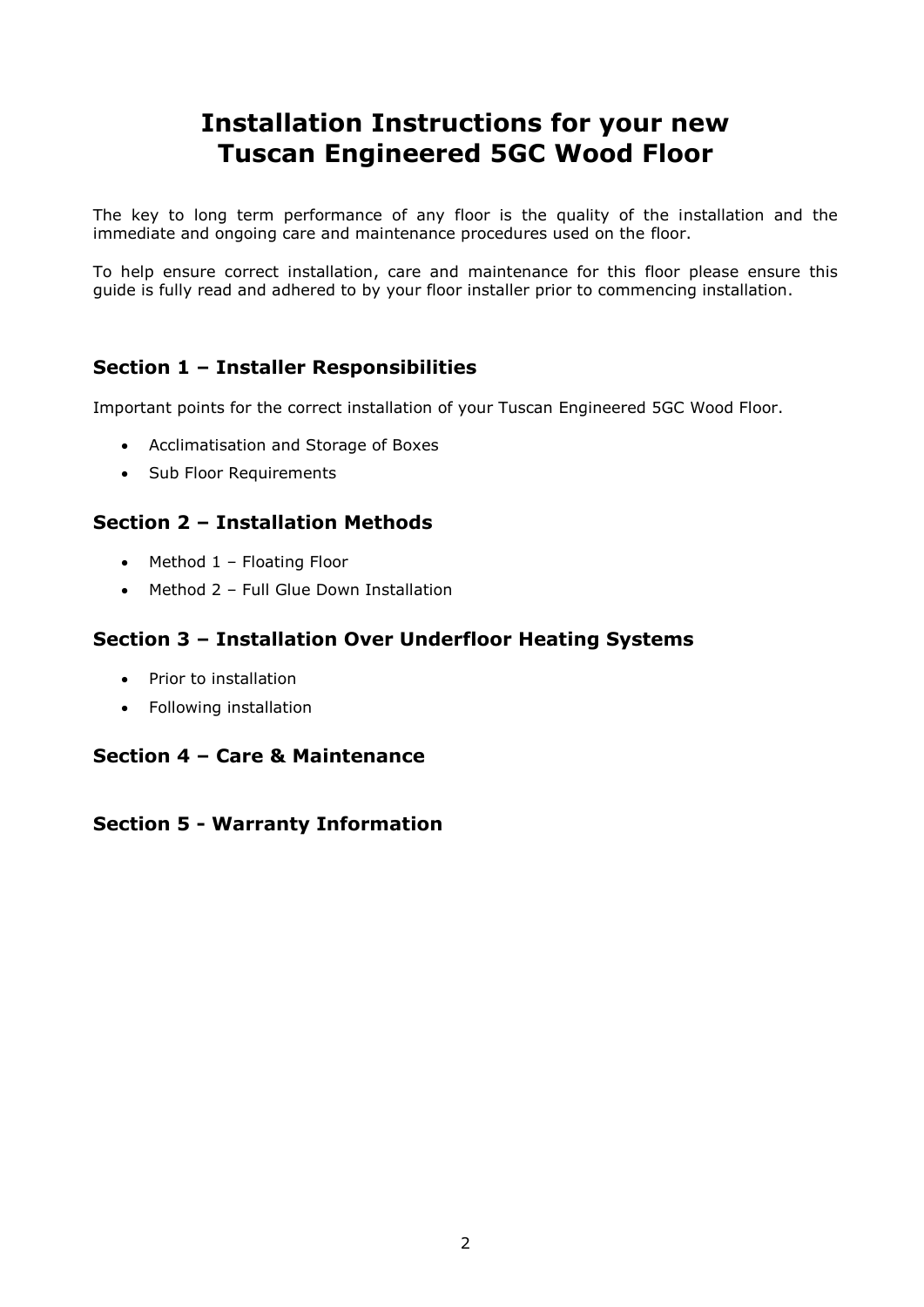## **Installation Instructions for your new Tuscan Engineered 5GC Wood Floor**

The key to long term performance of any floor is the quality of the installation and the immediate and ongoing care and maintenance procedures used on the floor.

To help ensure correct installation, care and maintenance for this floor please ensure this guide is fully read and adhered to by your floor installer prior to commencing installation.

## **Section 1 – Installer Responsibilities**

Important points for the correct installation of your Tuscan Engineered 5GC Wood Floor.

- Acclimatisation and Storage of Boxes
- Sub Floor Requirements

## **Section 2 – Installation Methods**

- $\bullet$  Method 1 Floating Floor
- Method 2 Full Glue Down Installation

## **Section 3 – Installation Over Underfloor Heating Systems**

- Prior to installation
- Following installation

## **Section 4 – Care & Maintenance**

## **Section 5 - Warranty Information**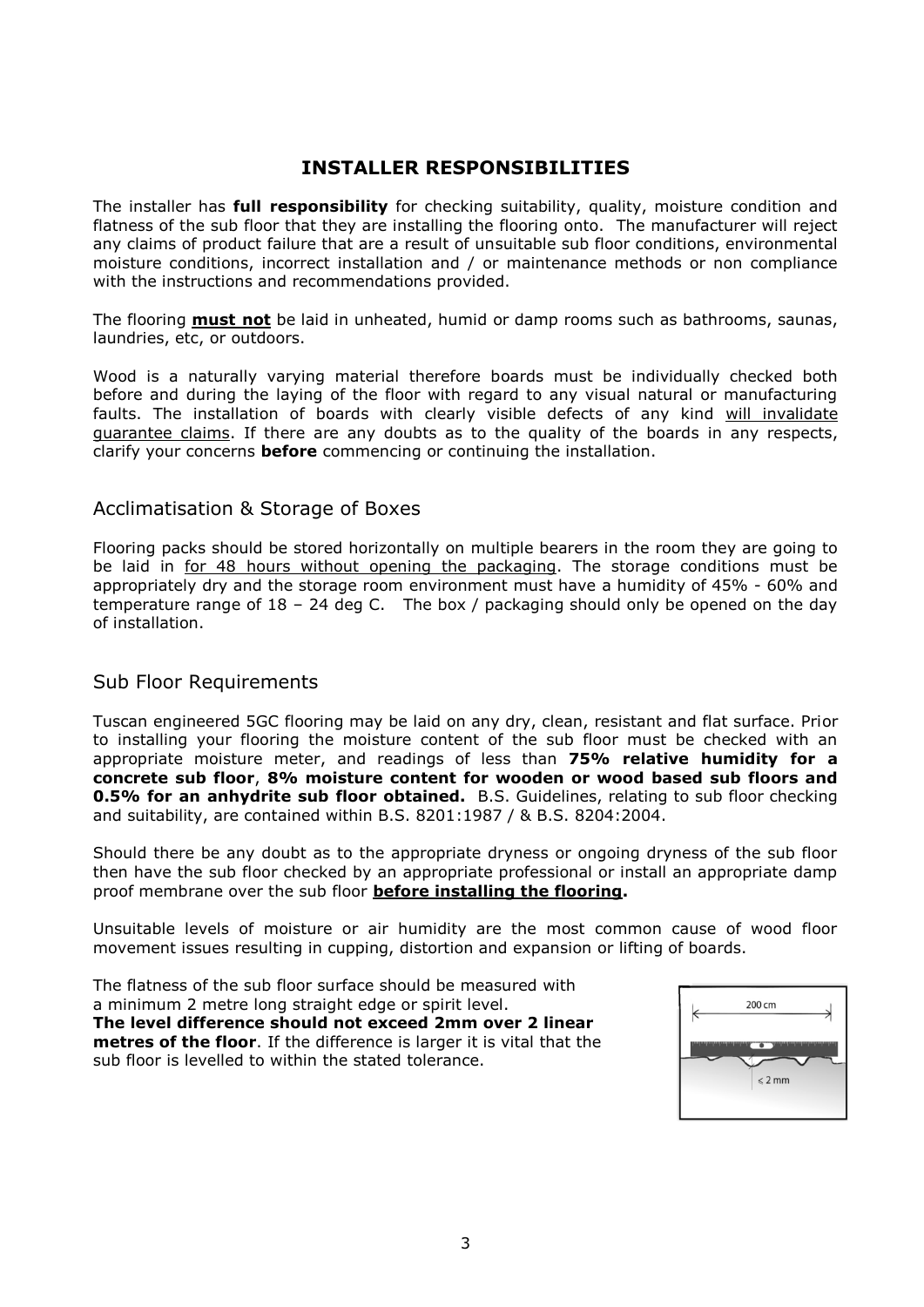## **INSTALLER RESPONSIBILITIES**

The installer has **full responsibility** for checking suitability, quality, moisture condition and flatness of the sub floor that they are installing the flooring onto. The manufacturer will reject any claims of product failure that are a result of unsuitable sub floor conditions, environmental moisture conditions, incorrect installation and / or maintenance methods or non compliance with the instructions and recommendations provided.

The flooring **must not** be laid in unheated, humid or damp rooms such as bathrooms, saunas, laundries, etc, or outdoors.

Wood is a naturally varying material therefore boards must be individually checked both before and during the laying of the floor with regard to any visual natural or manufacturing faults. The installation of boards with clearly visible defects of any kind will invalidate guarantee claims. If there are any doubts as to the quality of the boards in any respects, clarify your concerns **before** commencing or continuing the installation.

#### Acclimatisation & Storage of Boxes

Flooring packs should be stored horizontally on multiple bearers in the room they are going to be laid in for 48 hours without opening the packaging. The storage conditions must be appropriately dry and the storage room environment must have a humidity of 45% - 60% and temperature range of 18 – 24 deg C. The box / packaging should only be opened on the day of installation.

## Sub Floor Requirements

Tuscan engineered 5GC flooring may be laid on any dry, clean, resistant and flat surface. Prior to installing your flooring the moisture content of the sub floor must be checked with an appropriate moisture meter, and readings of less than **75% relative humidity for a concrete sub floor**, **8% moisture content for wooden or wood based sub floors and 0.5% for an anhydrite sub floor obtained.** B.S. Guidelines, relating to sub floor checking and suitability, are contained within B.S. 8201:1987 / & B.S. 8204:2004.

Should there be any doubt as to the appropriate dryness or ongoing dryness of the sub floor then have the sub floor checked by an appropriate professional or install an appropriate damp proof membrane over the sub floor **before installing the flooring.**

Unsuitable levels of moisture or air humidity are the most common cause of wood floor movement issues resulting in cupping, distortion and expansion or lifting of boards.

The flatness of the sub floor surface should be measured with a minimum 2 metre long straight edge or spirit level. **The level difference should not exceed 2mm over 2 linear metres of the floor**. If the difference is larger it is vital that the sub floor is levelled to within the stated tolerance.

| 200 cm           |  |
|------------------|--|
| $\leqslant$ 2 mm |  |
|                  |  |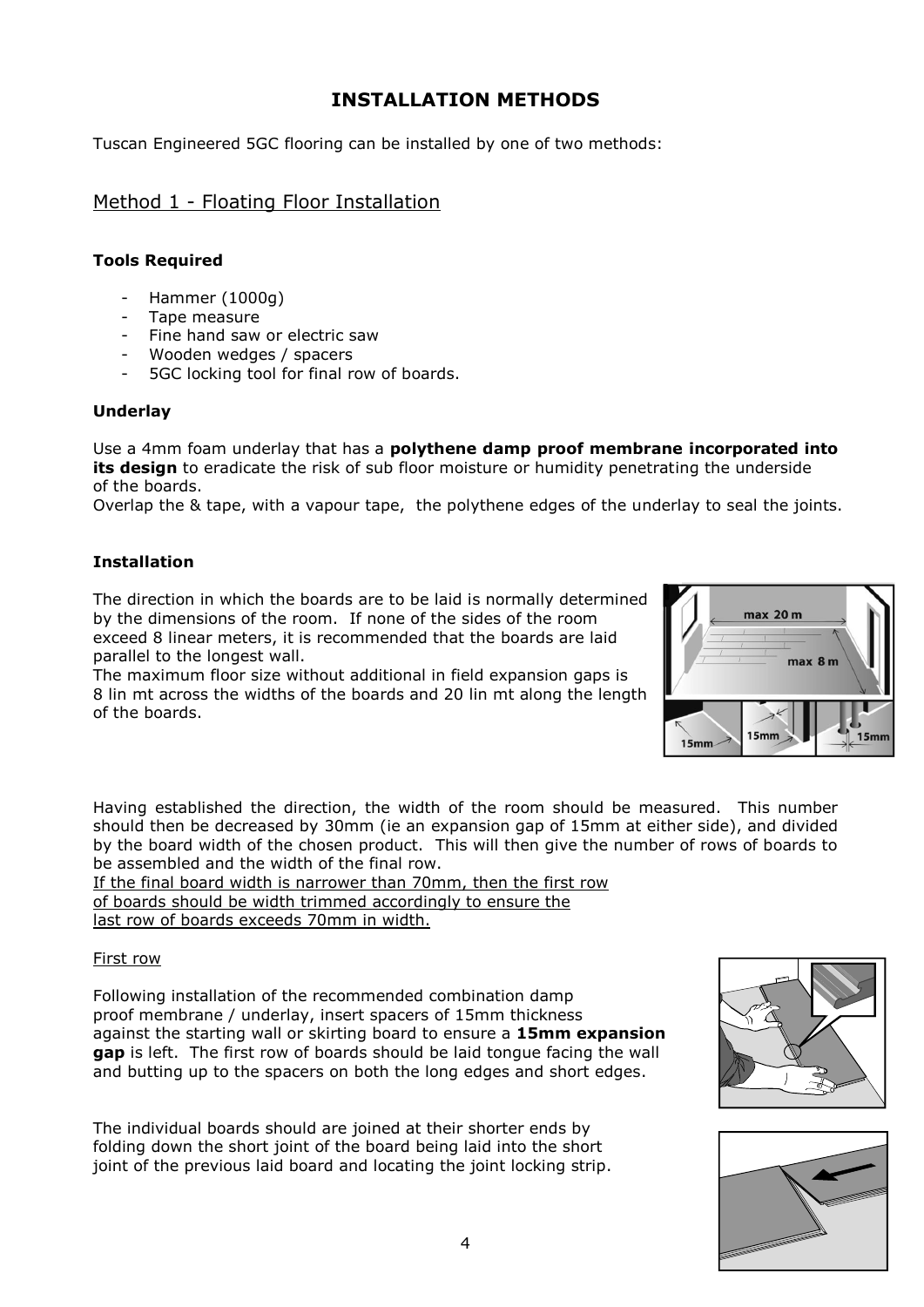## **INSTALLATION METHODS**

Tuscan Engineered 5GC flooring can be installed by one of two methods:

## Method 1 - Floating Floor Installation

#### **Tools Required**

- Hammer (1000g)
- Tape measure
- Fine hand saw or electric saw
- Wooden wedges / spacers
- 5GC locking tool for final row of boards.

#### **Underlay**

Use a 4mm foam underlay that has a **polythene damp proof membrane incorporated into its design** to eradicate the risk of sub floor moisture or humidity penetrating the underside of the boards.

Overlap the & tape, with a vapour tape, the polythene edges of the underlay to seal the joints.

#### **Installation**

The direction in which the boards are to be laid is normally determined by the dimensions of the room. If none of the sides of the room exceed 8 linear meters, it is recommended that the boards are laid parallel to the longest wall.

The maximum floor size without additional in field expansion gaps is 8 lin mt across the widths of the boards and 20 lin mt along the length of the boards.



Having established the direction, the width of the room should be measured. This number should then be decreased by 30mm (ie an expansion gap of 15mm at either side), and divided by the board width of the chosen product. This will then give the number of rows of boards to be assembled and the width of the final row.

If the final board width is narrower than 70mm, then the first row of boards should be width trimmed accordingly to ensure the last row of boards exceeds 70mm in width.

#### First row

Following installation of the recommended combination damp proof membrane / underlay, insert spacers of 15mm thickness against the starting wall or skirting board to ensure a **15mm expansion gap** is left. The first row of boards should be laid tongue facing the wall and butting up to the spacers on both the long edges and short edges.

The individual boards should are joined at their shorter ends by folding down the short joint of the board being laid into the short joint of the previous laid board and locating the joint locking strip.



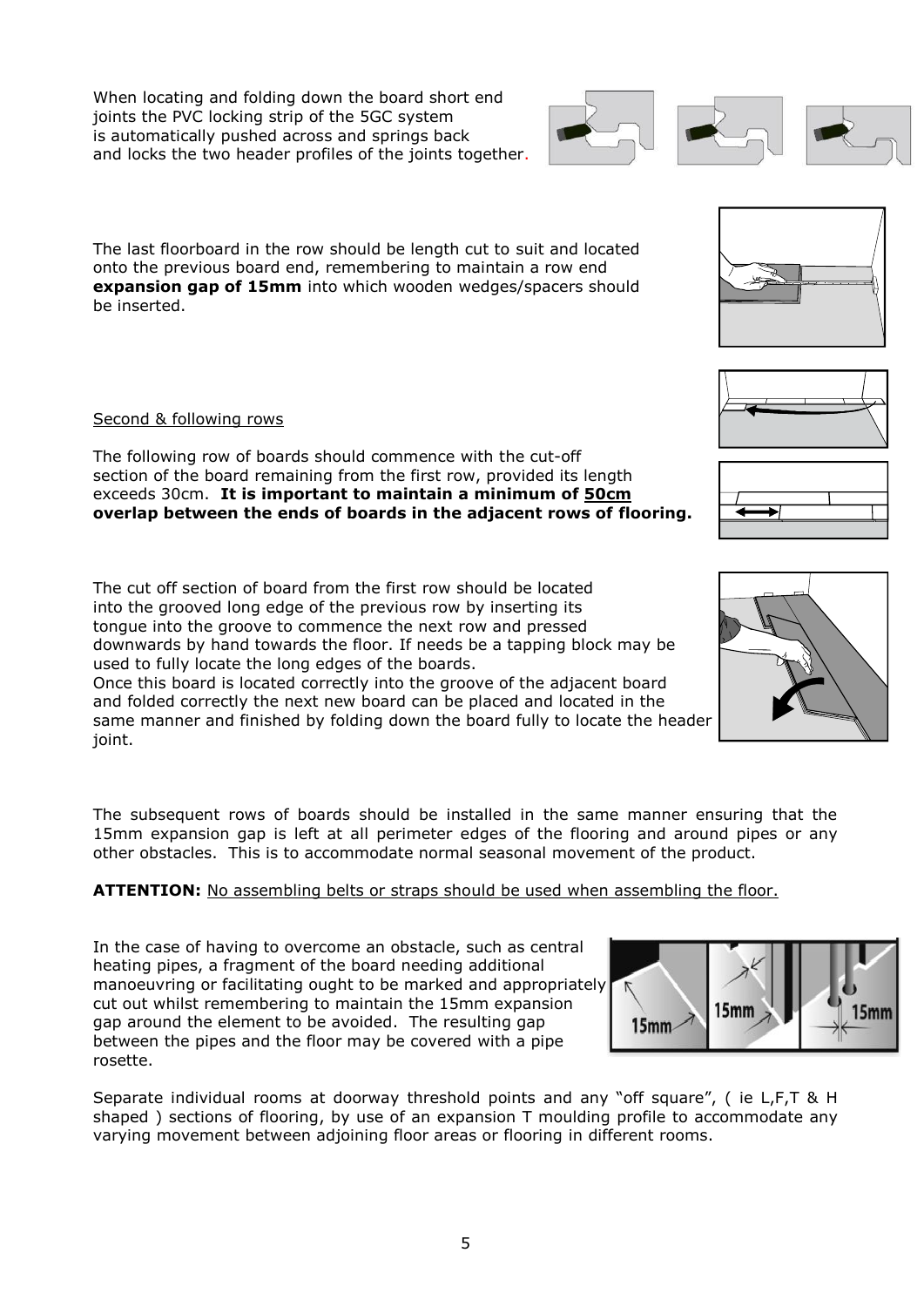When locating and folding down the board short end joints the PVC locking strip of the 5GC system is automatically pushed across and springs back and locks the two header profiles of the joints together.

The last floorboard in the row should be length cut to suit and located onto the previous board end, remembering to maintain a row end **expansion gap of 15mm** into which wooden wedges/spacers should be inserted.

#### Second & following rows

The following row of boards should commence with the cut-off section of the board remaining from the first row, provided its length exceeds 30cm. **It is important to maintain a minimum of 50cm overlap between the ends of boards in the adjacent rows of flooring.**

The cut off section of board from the first row should be located into the grooved long edge of the previous row by inserting its tongue into the groove to commence the next row and pressed downwards by hand towards the floor. If needs be a tapping block may be used to fully locate the long edges of the boards.

Once this board is located correctly into the groove of the adjacent board and folded correctly the next new board can be placed and located in the same manner and finished by folding down the board fully to locate the header joint.

The subsequent rows of boards should be installed in the same manner ensuring that the 15mm expansion gap is left at all perimeter edges of the flooring and around pipes or any other obstacles. This is to accommodate normal seasonal movement of the product.

#### **ATTENTION:** No assembling belts or straps should be used when assembling the floor.

In the case of having to overcome an obstacle, such as central heating pipes, a fragment of the board needing additional manoeuvring or facilitating ought to be marked and appropriately cut out whilst remembering to maintain the 15mm expansion gap around the element to be avoided. The resulting gap between the pipes and the floor may be covered with a pipe rosette.

Separate individual rooms at doorway threshold points and any "off square", ( ie L,F,T & H shaped ) sections of flooring, by use of an expansion T moulding profile to accommodate any varying movement between adjoining floor areas or flooring in different rooms.









5

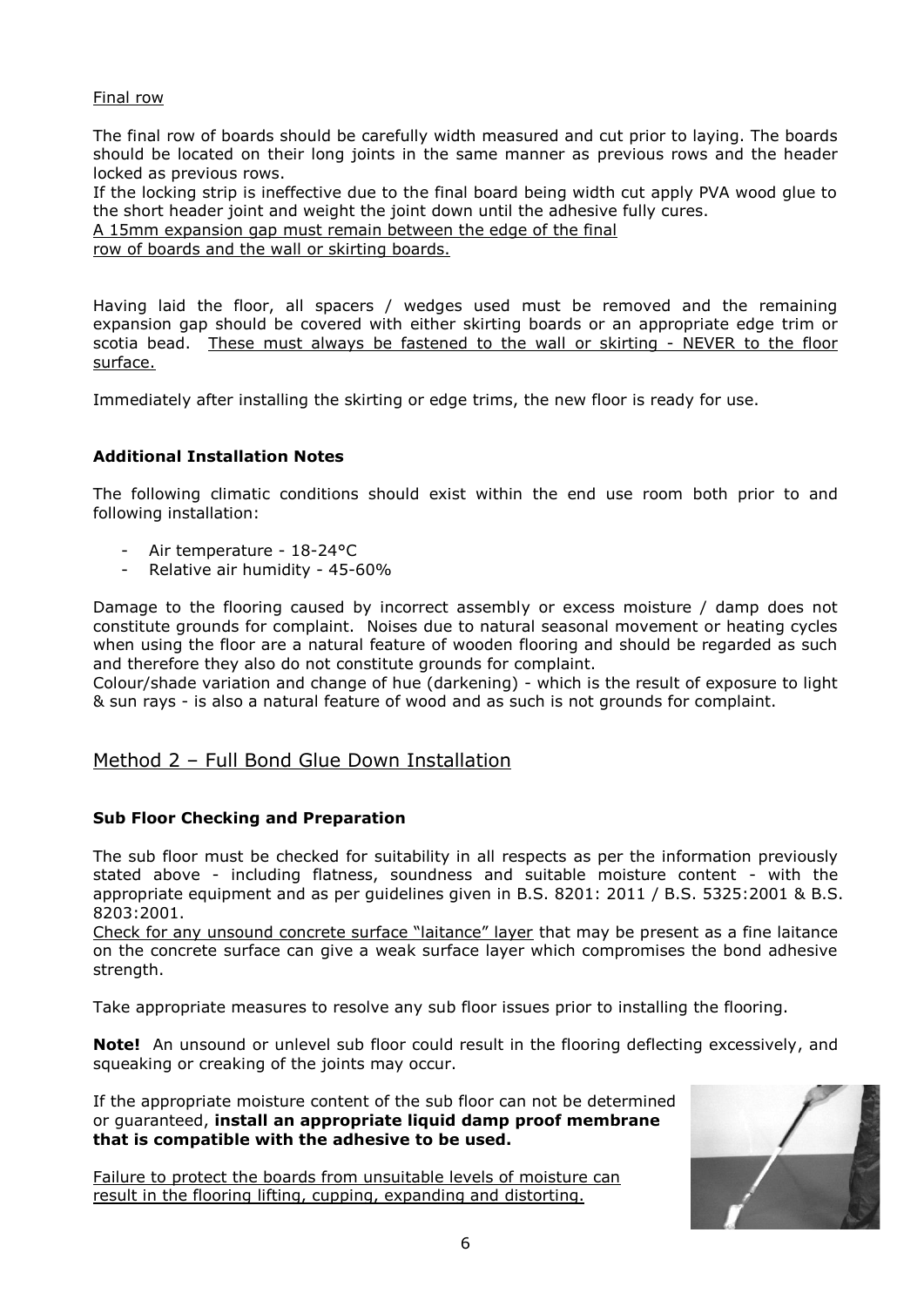#### Final row

The final row of boards should be carefully width measured and cut prior to laying. The boards should be located on their long joints in the same manner as previous rows and the header locked as previous rows.

If the locking strip is ineffective due to the final board being width cut apply PVA wood glue to the short header joint and weight the joint down until the adhesive fully cures.

A 15mm expansion gap must remain between the edge of the final

row of boards and the wall or skirting boards.

Having laid the floor, all spacers / wedges used must be removed and the remaining expansion gap should be covered with either skirting boards or an appropriate edge trim or scotia bead. These must always be fastened to the wall or skirting - NEVER to the floor surface.

Immediately after installing the skirting or edge trims, the new floor is ready for use.

#### **Additional Installation Notes**

The following climatic conditions should exist within the end use room both prior to and following installation:

- Air temperature 18-24°C
- Relative air humidity 45-60%

Damage to the flooring caused by incorrect assembly or excess moisture / damp does not constitute grounds for complaint. Noises due to natural seasonal movement or heating cycles when using the floor are a natural feature of wooden flooring and should be regarded as such and therefore they also do not constitute grounds for complaint.

Colour/shade variation and change of hue (darkening) - which is the result of exposure to light & sun rays - is also a natural feature of wood and as such is not grounds for complaint.

#### Method 2 – Full Bond Glue Down Installation

#### **Sub Floor Checking and Preparation**

The sub floor must be checked for suitability in all respects as per the information previously stated above - including flatness, soundness and suitable moisture content - with the appropriate equipment and as per guidelines given in B.S. 8201: 2011 / B.S. 5325:2001 & B.S. 8203:2001.

Check for any unsound concrete surface "laitance" layer that may be present as a fine laitance on the concrete surface can give a weak surface layer which compromises the bond adhesive strength.

Take appropriate measures to resolve any sub floor issues prior to installing the flooring.

**Note!** An unsound or unlevel sub floor could result in the flooring deflecting excessively, and squeaking or creaking of the joints may occur.

If the appropriate moisture content of the sub floor can not be determined or guaranteed, **install an appropriate liquid damp proof membrane that is compatible with the adhesive to be used.**

Failure to protect the boards from unsuitable levels of moisture can result in the flooring lifting, cupping, expanding and distorting.

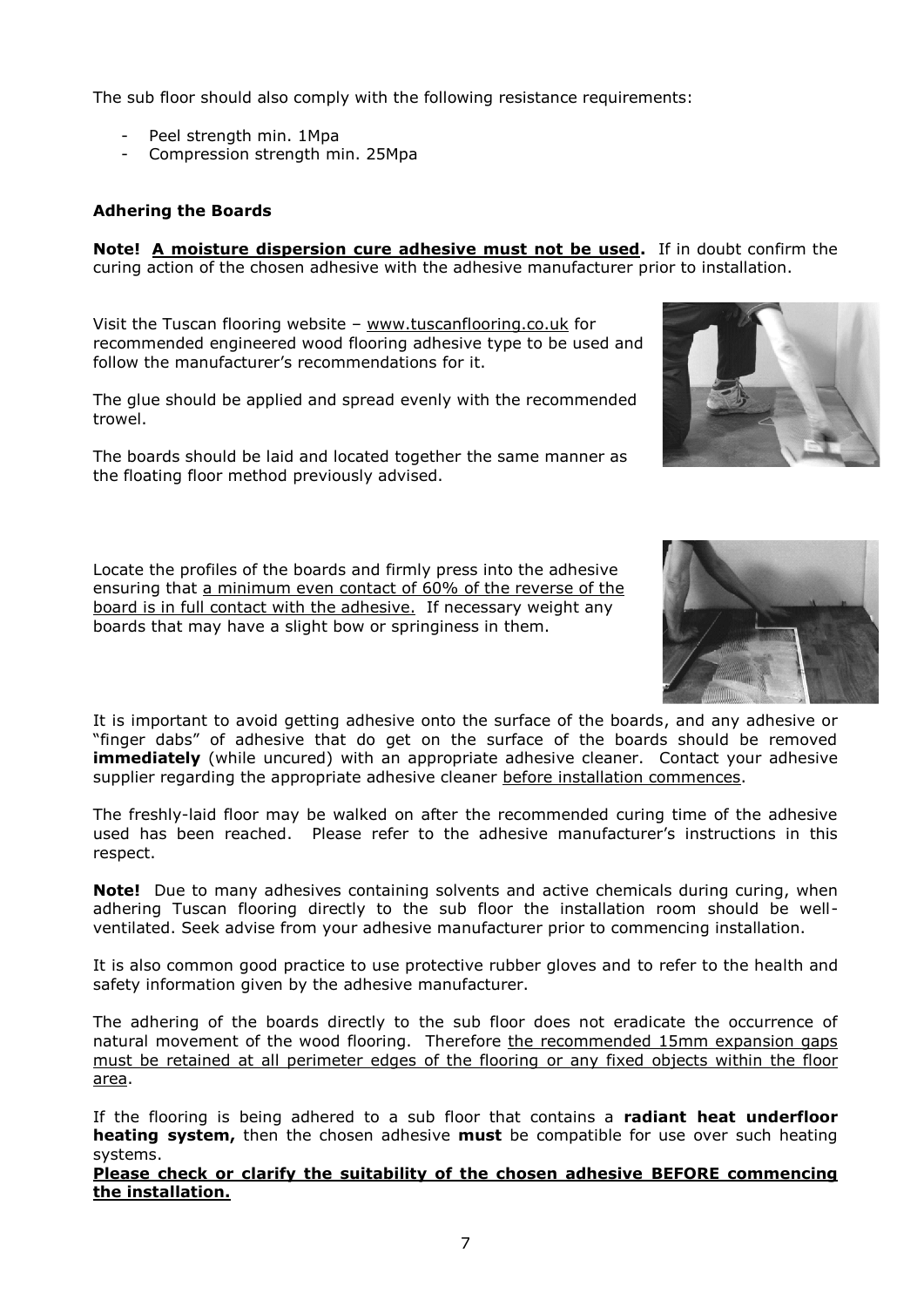The sub floor should also comply with the following resistance requirements:

- Peel strength min. 1Mpa
- Compression strength min. 25Mpa

#### **Adhering the Boards**

**Note! A moisture dispersion cure adhesive must not be used.** If in doubt confirm the curing action of the chosen adhesive with the adhesive manufacturer prior to installation.

Visit the Tuscan flooring website – [www.tuscanflooring.co.uk](http://www.tuscanflooring.co.uk/) for recommended engineered wood flooring adhesive type to be used and follow the manufacturer's recommendations for it.

The glue should be applied and spread evenly with the recommended trowel.

The boards should be laid and located together the same manner as the floating floor method previously advised.

Locate the profiles of the boards and firmly press into the adhesive ensuring that a minimum even contact of 60% of the reverse of the board is in full contact with the adhesive. If necessary weight any boards that may have a slight bow or springiness in them.



It is important to avoid getting adhesive onto the surface of the boards, and any adhesive or "finger dabs" of adhesive that do get on the surface of the boards should be removed **immediately** (while uncured) with an appropriate adhesive cleaner. Contact your adhesive supplier regarding the appropriate adhesive cleaner before installation commences.

The freshly-laid floor may be walked on after the recommended curing time of the adhesive used has been reached. Please refer to the adhesive manufacturer's instructions in this respect.

**Note!** Due to many adhesives containing solvents and active chemicals during curing, when adhering Tuscan flooring directly to the sub floor the installation room should be wellventilated. Seek advise from your adhesive manufacturer prior to commencing installation.

It is also common good practice to use protective rubber gloves and to refer to the health and safety information given by the adhesive manufacturer.

The adhering of the boards directly to the sub floor does not eradicate the occurrence of natural movement of the wood flooring. Therefore the recommended 15mm expansion gaps must be retained at all perimeter edges of the flooring or any fixed objects within the floor area.

If the flooring is being adhered to a sub floor that contains a **radiant heat underfloor heating system,** then the chosen adhesive **must** be compatible for use over such heating systems.

**Please check or clarify the suitability of the chosen adhesive BEFORE commencing the installation.**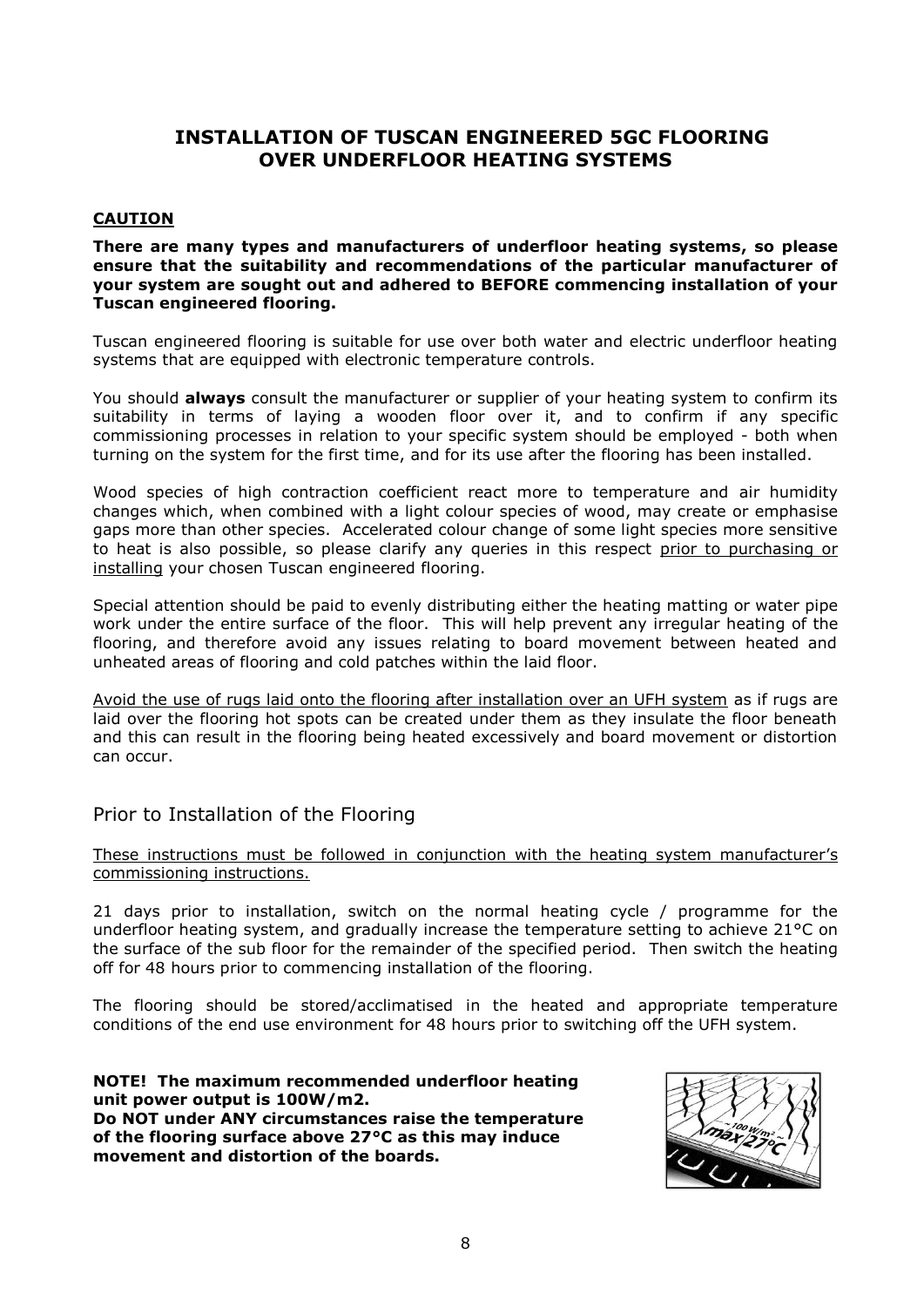## **INSTALLATION OF TUSCAN ENGINEERED 5GC FLOORING OVER UNDERFLOOR HEATING SYSTEMS**

#### **CAUTION**

**There are many types and manufacturers of underfloor heating systems, so please ensure that the suitability and recommendations of the particular manufacturer of your system are sought out and adhered to BEFORE commencing installation of your Tuscan engineered flooring.**

Tuscan engineered flooring is suitable for use over both water and electric underfloor heating systems that are equipped with electronic temperature controls.

You should **always** consult the manufacturer or supplier of your heating system to confirm its suitability in terms of laying a wooden floor over it, and to confirm if any specific commissioning processes in relation to your specific system should be employed - both when turning on the system for the first time, and for its use after the flooring has been installed.

Wood species of high contraction coefficient react more to temperature and air humidity changes which, when combined with a light colour species of wood, may create or emphasise gaps more than other species. Accelerated colour change of some light species more sensitive to heat is also possible, so please clarify any queries in this respect prior to purchasing or installing your chosen Tuscan engineered flooring.

Special attention should be paid to evenly distributing either the heating matting or water pipe work under the entire surface of the floor. This will help prevent any irregular heating of the flooring, and therefore avoid any issues relating to board movement between heated and unheated areas of flooring and cold patches within the laid floor.

Avoid the use of rugs laid onto the flooring after installation over an UFH system as if rugs are laid over the flooring hot spots can be created under them as they insulate the floor beneath and this can result in the flooring being heated excessively and board movement or distortion can occur.

#### Prior to Installation of the Flooring

These instructions must be followed in conjunction with the heating system manufacturer's commissioning instructions.

21 days prior to installation, switch on the normal heating cycle / programme for the underfloor heating system, and gradually increase the temperature setting to achieve 21°C on the surface of the sub floor for the remainder of the specified period. Then switch the heating off for 48 hours prior to commencing installation of the flooring.

The flooring should be stored/acclimatised in the heated and appropriate temperature conditions of the end use environment for 48 hours prior to switching off the UFH system.

**NOTE! The maximum recommended underfloor heating unit power output is 100W/m2. Do NOT under ANY circumstances raise the temperature of the flooring surface above 27°C as this may induce movement and distortion of the boards.**

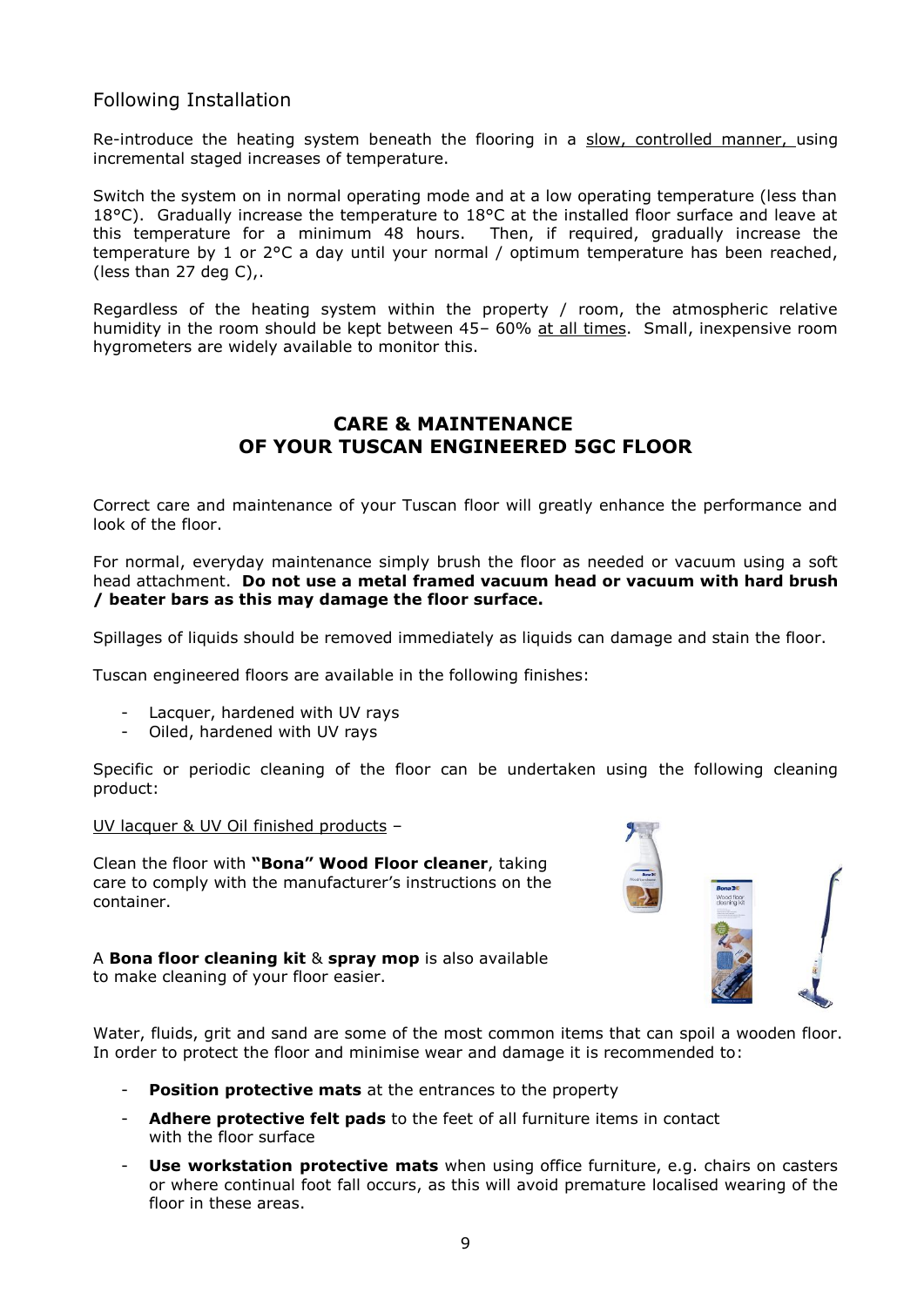## Following Installation

Re-introduce the heating system beneath the flooring in a slow, controlled manner, using incremental staged increases of temperature.

Switch the system on in normal operating mode and at a low operating temperature (less than 18°C). Gradually increase the temperature to 18°C at the installed floor surface and leave at this temperature for a minimum 48 hours. Then, if required, gradually increase the temperature by 1 or 2°C a day until your normal / optimum temperature has been reached, (less than 27 deg C),.

Regardless of the heating system within the property / room, the atmospheric relative humidity in the room should be kept between 45- 60% at all times. Small, inexpensive room hygrometers are widely available to monitor this.

## **CARE & MAINTENANCE OF YOUR TUSCAN ENGINEERED 5GC FLOOR**

Correct care and maintenance of your Tuscan floor will greatly enhance the performance and look of the floor.

For normal, everyday maintenance simply brush the floor as needed or vacuum using a soft head attachment. **Do not use a metal framed vacuum head or vacuum with hard brush / beater bars as this may damage the floor surface.**

Spillages of liquids should be removed immediately as liquids can damage and stain the floor.

Tuscan engineered floors are available in the following finishes:

- Lacquer, hardened with UV rays
- Oiled, hardened with UV rays

Specific or periodic cleaning of the floor can be undertaken using the following cleaning product:

UV lacquer & UV Oil finished products –

Clean the floor with **"Bona" Wood Floor cleaner**, taking care to comply with the manufacturer's instructions on the container.

A **Bona floor cleaning kit** & **spray mop** is also available to make cleaning of your floor easier.



Water, fluids, grit and sand are some of the most common items that can spoil a wooden floor. In order to protect the floor and minimise wear and damage it is recommended to:

- **Position protective mats** at the entrances to the property
- **Adhere protective felt pads** to the feet of all furniture items in contact with the floor surface
- **Use workstation protective mats** when using office furniture, e.g. chairs on casters or where continual foot fall occurs, as this will avoid premature localised wearing of the floor in these areas.